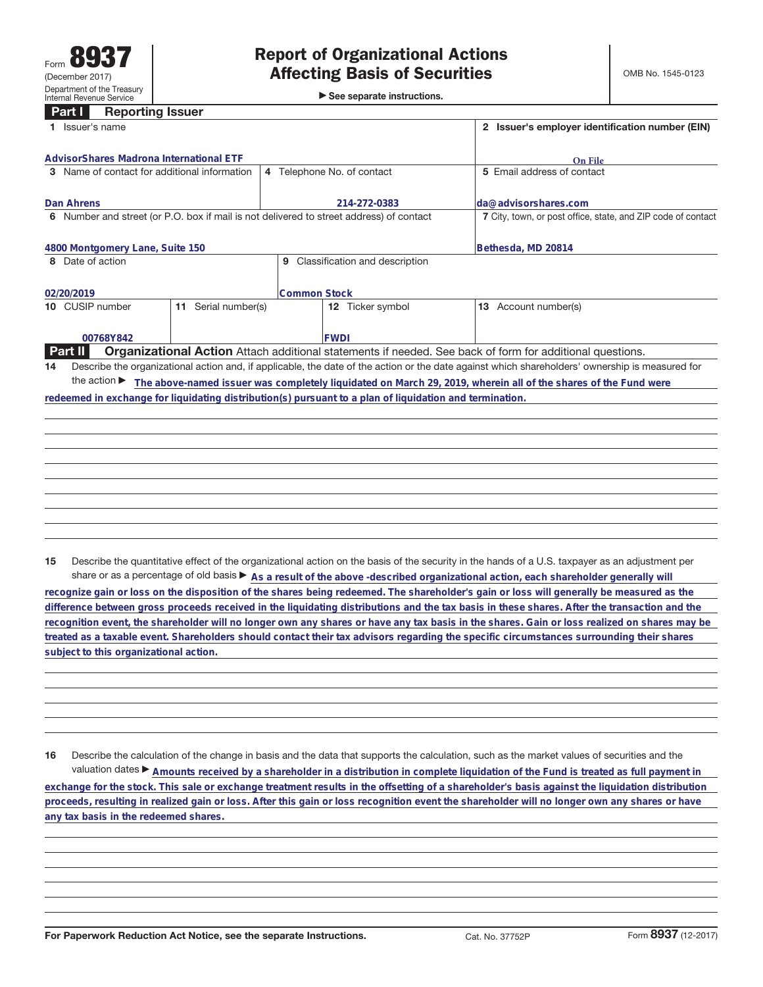| $\triangleright$ See separate instructions. |  |  |  |
|---------------------------------------------|--|--|--|
|---------------------------------------------|--|--|--|

| <b>Reporting Issuer</b><br><b>Part I</b>                                                                |                                                                                                                 |                                                                                                                                                 |  |
|---------------------------------------------------------------------------------------------------------|-----------------------------------------------------------------------------------------------------------------|-------------------------------------------------------------------------------------------------------------------------------------------------|--|
| Issuer's name                                                                                           | 2 Issuer's employer identification number (EIN)                                                                 |                                                                                                                                                 |  |
|                                                                                                         |                                                                                                                 |                                                                                                                                                 |  |
| AdvisorShares Madrona International ETF                                                                 | On File                                                                                                         |                                                                                                                                                 |  |
| 3 Name of contact for additional information                                                            | 4 Telephone No. of contact                                                                                      | 5 Email address of contact                                                                                                                      |  |
| Dan Ahrens                                                                                              | 214-272-0383                                                                                                    | lda@advisorshares.com                                                                                                                           |  |
| 6 Number and street (or P.O. box if mail is not delivered to street address) of contact                 |                                                                                                                 | 7 City, town, or post office, state, and ZIP code of contact                                                                                    |  |
|                                                                                                         |                                                                                                                 |                                                                                                                                                 |  |
|                                                                                                         |                                                                                                                 |                                                                                                                                                 |  |
| 4800 Montgomery Lane, Suite 150                                                                         |                                                                                                                 | Bethesda, MD 20814                                                                                                                              |  |
| Date of action                                                                                          | Classification and description<br>9                                                                             |                                                                                                                                                 |  |
|                                                                                                         |                                                                                                                 |                                                                                                                                                 |  |
| 02/20/2019                                                                                              | <b>Common Stock</b>                                                                                             |                                                                                                                                                 |  |
| Serial number(s)<br>10 CUSIP number<br>11                                                               | 12 Ticker symbol                                                                                                | 13 Account number(s)                                                                                                                            |  |
|                                                                                                         |                                                                                                                 |                                                                                                                                                 |  |
| 00768Y842                                                                                               | <b>FWDI</b>                                                                                                     |                                                                                                                                                 |  |
| Part II                                                                                                 | <b>Organizational Action</b> Attach additional statements if needed. See back of form for additional questions. |                                                                                                                                                 |  |
| 14                                                                                                      |                                                                                                                 | Describe the organizational action and, if applicable, the date of the action or the date against which shareholders' ownership is measured for |  |
|                                                                                                         |                                                                                                                 | the action ► The above-named issuer was completely liquidated on March 29, 2019, wherein all of the shares of the Fund were                     |  |
| redeemed in exchange for liquidating distribution(s) pursuant to a plan of liquidation and termination. |                                                                                                                 |                                                                                                                                                 |  |
|                                                                                                         |                                                                                                                 |                                                                                                                                                 |  |
|                                                                                                         |                                                                                                                 |                                                                                                                                                 |  |
|                                                                                                         |                                                                                                                 |                                                                                                                                                 |  |
|                                                                                                         |                                                                                                                 |                                                                                                                                                 |  |
|                                                                                                         |                                                                                                                 |                                                                                                                                                 |  |

**15** Describe the quantitative effect of the organizational action on the basis of the security in the hands of a U.S. taxpayer as an adjustment per share or as a percentage of old basis  $\blacktriangleright$  As a result of the above -described organizational action, each shareholder generally will

**recognize gain or loss on the disposition of the shares being redeemed. The shareholder's gain or loss will generally be measured as the difference between gross proceeds received in the liquidating distributions and the tax basis in these shares. After the transaction and the recognition event, the shareholder will no longer own any shares or have any tax basis in the shares. Gain or loss realized on shares may be treated as a taxable event. Shareholders should contact their tax advisors regarding the specific circumstances surrounding their shares subject to this organizational action.**

**16** Describe the calculation of the change in basis and the data that supports the calculation, such as the market values of securities and the valuation dates ▶ Amounts received by a shareholder in a distribution in complete liquidation of the Fund is treated as full payment in **exchange for the stock. This sale or exchange treatment results in the offsetting of a shareholder's basis against the liquidation distribution proceeds, resulting in realized gain or loss. After this gain or loss recognition event the shareholder will no longer own any shares or have any tax basis in the redeemed shares.**